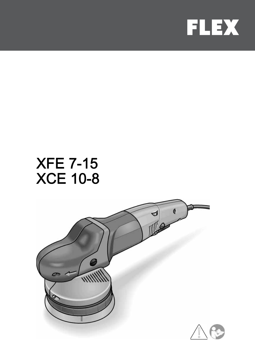

# XFE 7-15 XCE 10-8

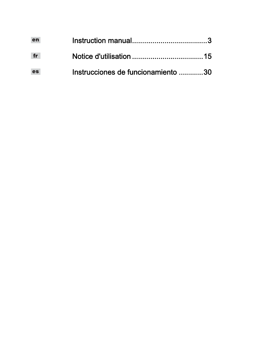| en |                                    |  |
|----|------------------------------------|--|
| fr |                                    |  |
| es | Instrucciones de funcionamiento 30 |  |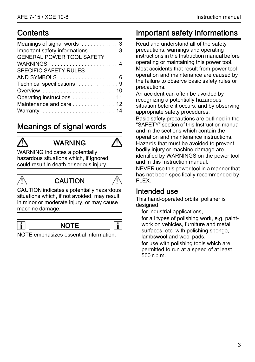# **Contents**

| Meanings of signal words 3       |
|----------------------------------|
| Important safety informations  3 |
| GENERAL POWER TOOL SAFETY        |
| WARNINGS  4                      |
| <b>SPECIFIC SAFETY RULES</b>     |
|                                  |
| Technical specifications  9      |
|                                  |
| Operating instructions  11       |
| Maintenance and care  12         |
| Warranty  14                     |

# Meanings of signal words

## WARNING



WARNING indicates a potentially hazardous situations which, if ignored, could result in death or serious injury.



**CAUTION** 



CAUTION indicates a potentially hazardous situations which, if not avoided, may result in minor or moderate injury, or may cause machine damage.



NOTE<sub>i</sub>

NOTE emphasizes essential information.

# Important safety informations

Read and understand all of the safety precautions, warnings and operating instructions in the Instruction manual before operating or maintaining this power tool. Most accidents that result from power tool operation and maintenance are caused by the failure to observe basic safety rules or precautions.

An accident can often be avoided by recognizing a potentially hazardous situation before it occurs, and by observing appropriate safety procedures.

Basic safety precautions are outlined in the "SAFETY" section of this Instruction manual and in the sections which contain the operation and maintenance instructions.

Hazards that must be avoided to prevent bodily injury or machine damage are identified by WARNINGS on the power tool and in this Instruction manual.

NEVER use this power tool in a manner that has not been specifically recommended by FLEX.

# Intended use

This hand-operated orbital polisher is designed

- for industrial applications,
- for all types of polishing work, e.g. paintwork on vehicles, furniture and metal surfaces, etc. with polishing sponge, lambswool and wool pads,
- for use with polishing tools which are permitted to run at a speed of at least 500 r.p.m.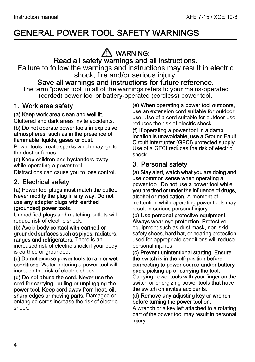# GENERAL POWER TOOL SAFETY WARNINGS

# WARNING:

# Read all safety warnings and all instructions.

Failure to follow the warnings and instructions may result in electric shock, fire and/or serious injury.

### Save all warnings and instructions for future reference.

The term "power tool" in all of the warnings refers to your mains-operated (corded) power tool or battery-operated (cordless) power tool.

### 1. Work area safety

### (a) Keep work area clean and well lit.

Cluttered and dark areas invite accidents.

### (b) Do not operate power tools in explosive atmospheres, such as in the presence of flammable liquids, gases or dust.

Power tools create sparks which may ignite the dust or fumes.

### (c) Keep children and bystanders away while operating a power tool.

Distractions can cause you to lose control.

### 2. Electrical safety

#### (a) Power tool plugs must match the outlet. Never modify the plug in any way. Do not use any adapter plugs with earthed (grounded) power tools.

Unmodified plugs and matching outlets will reduce risk of electric shock.

### (b) Avoid body contact with earthed or grounded surfaces such as pipes, radiators, ranges and refrigerators. There is an

increased risk of electric shock if your body is earthed or grounded.

### (c) Do not expose power tools to rain or wet conditions. Water entering a power tool will increase the risk of electric shock.

(d) Do not abuse the cord. Never use the cord for carrying, pulling or unplugging the power tool. Keep cord away from heat, oil, sharp edges or moving parts. Damaged or entangled cords increase the risk of electric shock.

(e) When operating a power tool outdoors, use an extension cord suitable for outdoor use. Use of a cord suitable for outdoor use reduces the risk of electric shock.

#### (f) If operating a power tool in a damp location is unavoidable, use a Ground Fault Circuit Interrupter (GFCI) protected supply. Use of a GFCI reduces the risk of electric shock.

# 3. Personal safety

(a) Stay alert, watch what you are doing and use common sense when operating a power tool. Do not use a power tool while you are tired or under the influence of drugs, alcohol or medication. A moment of inattention while operating power tools may result in serious personal injury.

#### (b) Use personal protective equipment. Always wear eye protection. Protective equipment such as dust mask, non-skid safety shoes, hard hat, or hearing protection used for appropriate conditions will reduce personal injuries.

### (c) Prevent unintentional starting. Ensure the switch is in the off-position before connecting to power source and/or battery pack, picking up or carrying the tool.

Carrying power tools with your finger on the switch or energizing power tools that have the switch on invites accidents.

### (d) Remove any adjusting key or wrench before turning the power tool on.

A wrench or a key left attached to a rotating part of the power tool may result in personal injury.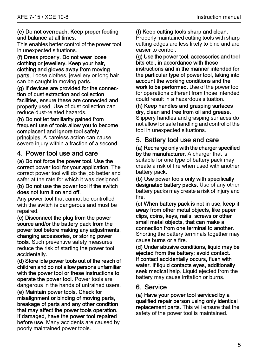### (e) Do not overreach. Keep proper footing and balance at all times.

This enables better control of the power tool in unexpected situations.

(f) Dress properly. Do not wear loose clothing or jewellery. Keep your hair, clothing and gloves away from moving parts. Loose clothes, jewellery or long hair can be caught in moving parts.

(g) If devices are provided for the connection of dust extraction and collection facilities, ensure these are connected and properly used. Use of dust collection can reduce dust-related hazards.

(h) Do not let familiarity gained from frequent use of tools allow you to become complacent and ignore tool safety

principles. A careless action can cause severe injury within a fraction of a second.

### 4. Power tool use and care

(a) Do not force the power tool. Use the correct power tool for your application. The correct power tool will do the job better and safer at the rate for which it was designed.

(b) Do not use the power tool if the switch does not turn it on and off.

Any power tool that cannot be controlled with the switch is dangerous and must be repaired.

(c) Disconnect the plug from the power source and/or the battery pack from the power tool before making any adjustments, changing accessories, or storing power tools. Such preventive safety measures reduce the risk of starting the power tool accidentally.

(d) Store idle power tools out of the reach of children and do not allow persons unfamiliar with the power tool or these instructions to operate the power tool. Power tools are dangerous in the hands of untrained users. (e) Maintain power tools. Check for misalignment or binding of moving parts, breakage of parts and any other condition that may affect the power tools operation. If damaged, have the power tool repaired before use. Many accidents are caused by poorly maintained power tools.

(f) Keep cutting tools sharp and clean.

Properly maintained cutting tools with sharp cutting edges are less likely to bind and are easier to control.

(g) Use the power tool, accessories and tool bits etc., in accordance with these instructions and in the manner intended for the particular type of power tool, taking into account the working conditions and the

work to be performed. Use of the power tool for operations different from those intended could result in a hazardous situation.

### (h) Keep handles and grasping surfaces dry, clean and free from oil and grease.

Slippery handles and grasping surfaces do not allow for safe handling and control of the tool in unexpected situations.

# 5. Battery tool use and care

(a) Recharge only with the charger specified by the manufacturer. A charger that is suitable for one type of battery pack may create a risk of fire when used with another battery pack.

(b) Use power tools only with specifically designated battery packs. Use of any other battery packs may create a risk of injury and fire.

(c) When battery pack is not in use, keep it away from other metal objects, like paper clips, coins, keys, nails, screws or other small metal objects, that can make a connection from one terminal to another.

Shorting the battery terminals together may cause burns or a fire.

(d) Under abusive conditions, liquid may be ejected from the battery; avoid contact. If contact accidentally occurs, flush with water. If liquid contacts eyes, additionally seek medical help. Liquid ejected from the battery may cause irritation or burns.

### 6. Service

(a) Have your power tool serviced by a qualified repair person using only identical replacement parts. This will ensure that the safety of the power tool is maintained.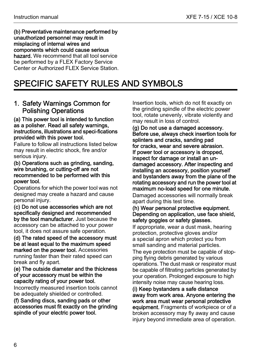### (b) Preventative maintenance performed by unauthorized personnel may result in misplacing of internal wires and components which could cause serious hazard. We recommend that all tool service

be performed by a FLEX Factory Service Center or Authorized FLEX Service Station.

# SPECIFIC SAFETY RULES AND SYMBOLS

### 1. Safety Warnings Common for Polishing Operations

### (a) This power tool is intended to function as a polisher. Read all safety warnings, instructions, illustrations and speci-fications provided with this power tool.

Failure to follow all instructions listed below may result in electric shock, fire and/or serious injury.

#### (b) Operations such as grinding, sanding, wire brushing, or cutting-off are not recommended to be performed with this power tool.

Operations for which the power tool was not designed may create a hazard and cause personal injury.

(c) Do not use accessories which are not specifically designed and recommended by the tool manufacturer. Just because the accessory can be attached to your power tool, it does not assure safe operation.

(d) The rated speed of the accessory must be at least equal to the maximum speed marked on the power tool. Accessories running faster than their rated speed can break and fly apart.

### (e) The outside diameter and the thickness of your accessory must be within the capacity rating of your power tool.

Incorrectly measured insertion tools cannot be adequately shielded or controlled.

(f) Sanding discs, sanding pads or other accessories must fit exactly on the grinding spindle of your electric power tool.

Insertion tools, which do not fit exactly on the grinding spindle of the electric power tool, rotate unevenly, vibrate violently and may result in loss of control.

(g) Do not use a damaged accessory. Before use, always check insertion tools for splinters and cracks, sanding pad for cracks, wear and severe abrasion. If power tool or accessory is dropped, inspect for damage or install an undamaged accessory. After inspecting and installing an accessory, position yourself and bystanders away from the plane of the rotating accessory and run the power tool at maximum no-load speed for one minute. Damaged accessories will normally break apart during this test time.

### (h) Wear personal protective equipment. Depending on application, use face shield, safety goggles or safety glasses.

If appropriate, wear a dust mask, hearing protection, protective gloves and/or a special apron which protect you from small sanding and material particles. The eye protection must be capable of stopping flying debris generated by various operations. The dust mask or respirator must be capable of filtrating particles generated by your operation. Prolonged exposure to high intensity noise may cause hearing loss.

(i) Keep bystanders a safe distance away from work area. Anyone entering the work area must wear personal protective equipment. Fragments of workpiece or of a broken accessory may fly away and cause injury beyond immediate area of operation.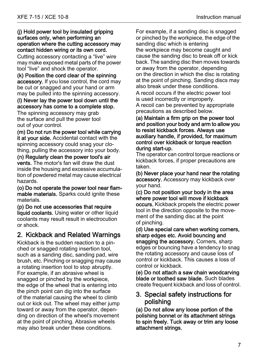### (j) Hold power tool by insulated gripping surfaces only, when performing an operation where the cutting accessory may contact hidden wiring or its own cord.

Cutting accessory contacting a "live" wire may make exposed metal parts of the power tool "live" and shock the operator.

(k) Position the cord clear of the spinning accessory. If you lose control, the cord may be cut or snagged and your hand or arm may be pulled into the spinning accessory.

### (l) Never lay the power tool down until the accessory has come to a complete stop.

The spinning accessory may grab the surface and pull the power tool out of your control.

(m) Do not run the power tool while carrying it at your side. Accidental contact with the spinning accessory could snag your clothing, pulling the accessory into your body.

#### (n) Regularly clean the power tool's air vents. The motor's fan will draw the dust inside the housing and excessive accumulation of powdered metal may cause electrical hazards.

(o) Do not operate the power tool near flammable materials. Sparks could ignite these materials.

(p) Do not use accessories that require liquid coolants. Using water or other liquid coolants may result result in electrocution or shock.

# 2. Kickback and Related Warnings

Kickback is the sudden reaction to a pinched or snagged rotating insertion tool, such as a sanding disc, sanding pad, wire brush, etc. Pinching or snagging may cause a rotating insertion tool to stop abruptly. For example, if an abrasive wheel is snagged or pinched by the workpiece, the edge of the wheel that is entering into the pinch point can dig into the surface of the material causing the wheel to climb out or kick out. The wheel may either jump toward or away from the operator, depending on direction of the wheel's movement at the point of pinching. Abrasive wheels may also break under these conditions.

For example, if a sanding disc is snagged or pinched by the workpiece, the edge of the sanding disc which is entering the workpiece may become caught and cause the sanding disc to break off or kick back. The sanding disc then moves towards or away from the operator, depending on the direction in which the disc is rotating at the point of pinching. Sanding discs may also break under these conditions.

A recoil occurs if the electric power tool is used incorrectly or improperly. A recoil can be prevented by appropriate precautions as described below.

#### (a) Maintain a firm grip on the power tool and position your body and arm to allow you to resist kickback forces. Always use auxiliary handle, if provided, for maximum control over kickback or torque reaction during start-up.

The operator can control torque reactions or kickback forces, if proper precautions are taken.

(b) Never place your hand near the rotating accessory. Accessory may kickback over your hand.

### (c) Do not position your body in the area where power tool will move if kickback

occurs. Kickback propels the electric power tool in the direction opposite to the movement of the sanding disc at the point of pinching.

#### (d) Use special care when working corners, sharp edges etc. Avoid bouncing and snagging the accessory. Corners, sharp edges or bouncing have a tendency to snag the rotating accessory and cause loss of control or kickback. This causes a loss of control or kickback.

(e) Do not attach a saw chain woodcarving blade or toothed saw blade. Such blades create frequent kickback and loss of control.

### 3. Special safety instructions for polishing

(a) Do not allow any loose portion of the polishing bonnet or its attachment strings to spin freely. Tuck away or trim any loose attachment strings.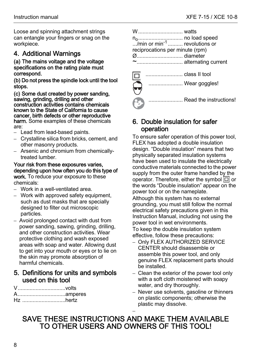Loose and spinning attachment strings can entangle your fingers or snag on the workpiece.

### 4. Additional Warnings

(a) The mains voltage and the voltage specifications on the rating plate must correspond.

(b) Do not press the spindle lock until the tool stops.

(c) Some dust created by power sanding, sawing, grinding, drilling and other construction activities contains chemicals known to the State of California to cause cancer, birth defects or other reproductive harm. Some examples of these chemicals are:

- Lead from lead-based paints.
- Crystalline silica from bricks, cement, and other masonry products.
- Arsenic and chromium from chemicallytreated lumber.

### Your risk from these exposures varies, depending upon how often you do this type of

work. To reduce your exposure to these chemicals:

- Work in a well-ventilated area.
- Work with approved safety equipment, such as dust masks that are specially designed to filter out microscopic particles.
- Avoid prolonged contact with dust from power sanding, sawing, grinding, drilling, and other construction activities. Wear protective clothing and wash exposed areas with soap and water. Allowing dust to get into your mouth or eyes or to lie on the skin may promote absorption of harmful chemicals.

### 5. Definitions for units and symbols used on this tool

| V…………………………volts |  |
|------------------|--|
|                  |  |
| Hz hertz         |  |

W.............................. watts no.............................. no load speed .../min or min<sup>-1</sup> .......... revolutions or reciprocations per minute (rpm) Ø............................... diameter ~............................... alternating current ......................... class II tool □ ....................... Wear goggles! ....................... Read the instructions!

### 6. Double insulation for safer operation

To ensure safer operation of this power tool, FLEX has adopted a double insulation design. "Double insulation" means that two physically separated insulation systems have been used to insulate the electrically conductive materials connected to the power supply from the outer frame handled by the operator. Therefore, either the symbol  $\Box$  or the words "Double insulation" appear on the power tool or on the nameplate.

Although this system has no external grounding, you must still follow the normal electrical safety precautions given in this Instruction Manual, including not using the power tool in wet environments.

To keep the double insulation system effective, follow these precautions:

- Only FLEX AUTHORIZED SERVICE CENTER should disassemble or assemble this power tool, and only genuine FLEX replacement parts should be installed.
- Clean the exterior of the power tool only with a soft cloth moistened with soapy water, and dry thoroughly.
- Never use solvents, gasoline or thinners on plastic components; otherwise the plastic may dissolve.

# SAVE THESE INSTRUCTIONS AND MAKE THEM AVAILABLE TO OTHER USERS AND OWNERS OF THIS TOOL!

–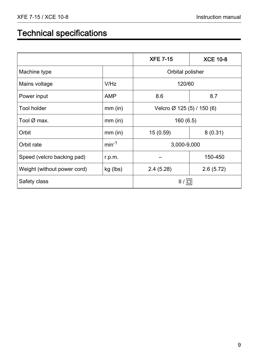# Technical specifications

|                             |           | <b>XFE 7-15</b>                        | <b>XCE 10-8</b> |
|-----------------------------|-----------|----------------------------------------|-----------------|
| Machine type                |           | Orbital polisher                       |                 |
| Mains voltage               | V/Hz      | 120/60                                 |                 |
| Power input                 | AMP       | 8.6                                    | 8.7             |
| Tool holder                 | $mm$ (in) | Velcro $\varnothing$ 125 (5) / 150 (6) |                 |
| Tool Ø max.                 | $mm$ (in) | 160 (6.5)                              |                 |
| Orbit                       | $mm$ (in) | 15(0.59)                               | 8(0.31)         |
| Orbit rate                  | $min-1$   | 3,000-9,000                            |                 |
| Speed (velcro backing pad)  | r.p.m.    |                                        | 150-450         |
| Weight (without power cord) | kg (lbs)  | 2.4(5.28)                              | 2.6(5.72)       |
| Safety class<br>    /   □   |           |                                        |                 |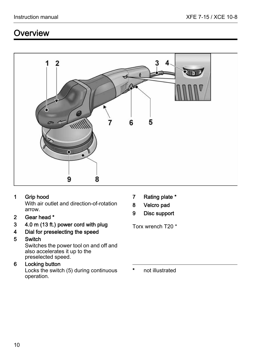# **Overview**



### 1 Grip hood

With air outlet and direction-of-rotation arrow.

- 2 Gear head \*
- 3 4.0 m (13 ft.) power cord with plug
- 4 Dial for preselecting the speed
- 5 Switch

Switches the power tool on and off and also accelerates it up to the preselected speed.

### 6 Locking button

Locks the switch (5) during continuous operation.

- 7 Rating plate \*
- 8 Velcro pad
- 9 Disc support

Torx wrench T20 \*

not illustrated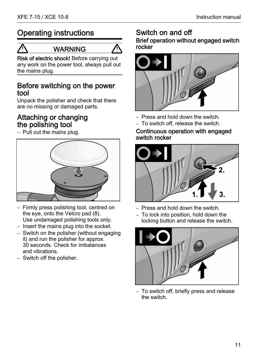# Operating instructions



# WARNING



Risk of electric shock! Before carrying out any work on the power tool, always pull out the mains plug.

### Before switching on the power tool

Unpack the polisher and check that there are no missing or damaged parts.

### Attaching or changing the polishing tool

– Pull out the mains plug.



- Firmly press polishing tool, centred on the eye, onto the Velcro pad (8). Use undamaged polishing tools only.
- Insert the mains plug into the socket.
- Switch on the polisher (without engaging it) and run the polisher for approx. 30 seconds. Check for imbalances and vibrations.
- Switch off the polisher.

### Switch on and off Brief operation without engaged switch rocker



- Press and hold down the switch.
- To switch off, release the switch.

### Continuous operation with engaged switch rocker



- Press and hold down the switch.
- To lock into position, hold down the locking button and release the switch.



– To switch off, briefly press and release the switch.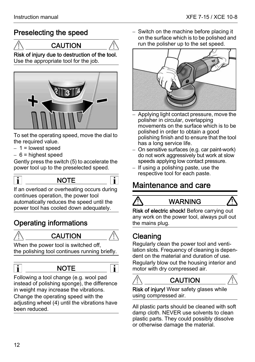# Preselecting the speed



CAUTION

Risk of injury due to destruction of the tool. Use the appropriate tool for the job.



To set the operating speed, move the dial to the required value.

- $-1$  = lowest speed
- $6$  = highest speed

Gently press the switch (5) to accelerate the power tool up to the preselected speed.

NOTE

If an overload or overheating occurs during continues operation, the power tool automatically reduces the speed until the power tool has cooled down adequately.

# Operating informations



CAUTION

When the power tool is switched off, the polishing tool continues running briefly.

**NOTE** 



Following a tool change (e.g. wool pad instead of polishing sponge), the difference in weight may increase the vibrations.

Change the operating speed with the adjusting wheel (4) until the vibrations have been reduced.

– Switch on the machine before placing it on the surface which is to be polished and run the polisher up to the set speed.



- Applying light contact pressure, move the polisher in circular, overlapping movements on the surface which is to be polished in order to obtain a good polishing finish and to ensure that the tool has a long service life.
- On sensitive surfaces (e.g. car paint-work) do not work aggressively but work at slow speeds applying low contact pressure.
- If using a polishing paste, use the respective tool for each paste.

# Maintenance and care

WARNING



Risk of electric shock! Before carrying out any work on the power tool, always pull out the mains plug.

# Cleaning

Regularly clean the power tool and ventilation slots. Frequency of cleaning is dependent on the material and duration of use. Regularly blow out the housing interior and motor with dry compressed air.



**CAUTION** 

Risk of injury! Wear safety glases while using compressed air.

All plastic parts should be cleaned with soft damp cloth. NEVER use solvents to clean plastic parts. They could possibly dissolve or otherwise damage the material.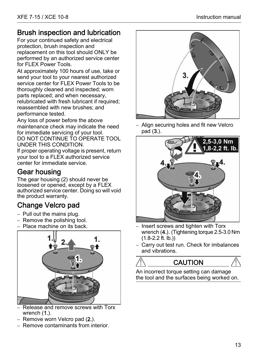# Brush inspection and lubrication

For your continued safety and electrical protection, brush inspection and replacement on this tool should ONLY be performed by an authorized service center for FLEX Power Tools.

At approximately 100 hours of use, take or send your tool to your nearest authorized service center for FLEX Power Tools to be thoroughly cleaned and inspected; worn parts replaced; and when necessary, relubricated with fresh lubricant if required; reassembled with new brushes; and performance tested.

Any loss of power before the above maintenance check may indicate the need for immediate servicing of your tool.

DO NOT CONTINUE TO OPERATE TOOL UNDER THIS CONDITION.

lf proper operating voltage is present, return your tool to a FLEX authorized service center for immediate service.

# Gear housing

The gear housing (2) should never be loosened or opened, except by a FLEX authorized service center. Doing so will void the product warranty.

# Change Velcro pad

- Pull out the mains plug.
- Remove the polishing tool.
- Place machine on its back.



- Release and remove screws with Torx wrench (1.).
- Remove worn Velcro pad (2.).
- Remove contaminants from interior.



– Align securing holes and fit new Velcro pad (3.).



- Insert screws and tighten with Torx wrench (4.). (Tightening torque 2.5-3.0 Nm  $(1.8 - 2.2$  ft. lb.)
- Carry out test run. Check for imbalances and vibrations.





An incorrect torque setting can damage the tool and the surfaces being worked on.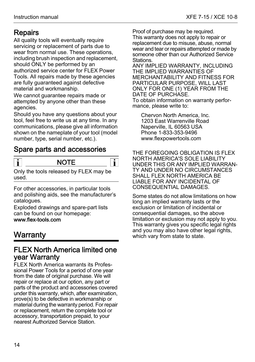# **Repairs**

All quality tools will eventually require servicing or replacement of parts due to wear from normal use. These operations, including brush inspection and replacement, should ONLY be performed by an authorized service center for FLEX Power Tools. All repairs made by these agencies are fully guaranteed against defective material and workmanship.

We cannot guarantee repairs made or attempted by anyone other than these agencies.

Should you have any questions about your tool, feel free to write us at any time. In any communications, please give all information shown on the nameplate of your tool (model number, type, serial number, etc.).

# Spare parts and accessories

NOTE

Only the tools released by FLEX may be used.

For other accessories, in particular tools and polishing aids, see the manufacturer's catalogues.

Exploded drawings and spare-part lists can be found on our homepage: www.flex-tools.com

# **Warranty**

## FLEX North America limited one year Warranty

FLEX North America warrants its Professional Power Tools for a period of one year from the date of original purchase. We will repair or replace at our option, any part or parts of the product and accessories covered under this warranty, which, after examination, prove(s) to be defective in workmanship or material during the warranty period. For repair or replacement, return the complete tool or accessory, transportation prepaid, to your nearest Authorized Service Station.

Proof of purchase may be required. This warranty does not apply to repair or replacement due to misuse, abuse, normal wear and tear or repairs attempted or made by someone other than our Authorized Service Stations.

ANY IMPLIED WARRANTY, INCLUDING THE IMPLIED WARRANTIES OF MERCHANTABILITY AND FITNESS FOR PARTICULAR PURPOSE, WILL LAST ONLY FOR ONE (1) YEAR FROM THE DATE OF PURCHASE. To obtain information on warranty performance, please write to:

Chervon North America, Inc. 1203 East Warrenville Road Naperville, IL 60563 USA Phone 1-833-353-9496 www.flexpowertools.com

THE FOREGOING OBLIGATION IS FLEX NORTH AMERICA'S SOLE LIABILITY UNDER THIS OR ANY IMPLIED WARRAN-TY AND UNDER NO CIRCUMSTANCES SHALL FLEX NORTH AMERICA BE LIABLE FOR ANY INCIDENTAL OF CONSEQUENTIAL DAMAGES.

Some states do not allow limitations on how long an implied warranty lasts or the exclusion or limitation of incidental or consequential damages, so the above limitation or exclusion may not apply to you. This warranty gives you specific legal rights and you may also have other legal rights, which vary from state to state.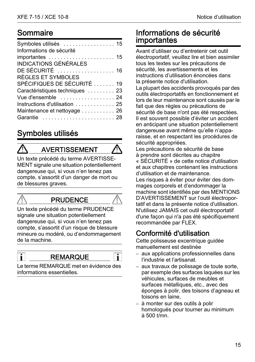# **Sommaire**

| Symboles utilisés  15           |  |
|---------------------------------|--|
| Informations de sécurité        |  |
| importantes  15                 |  |
| INDICATIONS GÉNÉRALES           |  |
| DE SÉCURITÉ  16                 |  |
| RÈGLES ET SYMBOLES              |  |
| SPÉCIFIQUES DE SÉCURITÉ  19     |  |
| Caractéristiques techniques  23 |  |
| Vue d'ensemble  24              |  |
| Instructions d'utilisation  25  |  |
| Maintenance et nettoyage 26     |  |
| Garantie  28                    |  |
|                                 |  |

# Symboles utilisés

 $\mathbf i$ 

# AVERTISSEMENT

Un texte précédé du terme AVERTISSE-MENT signale une situation potentiellement dangereuse qui, si vous n'en tenez pas compte, s'assortit d'un danger de mort ou de blessures graves.

# PRUDENCE

Un texte précédé du terme PRUDENCE signale une situation potentiellement dangereuse qui, si vous n'en tenez pas compte, s'assortit d'un risque de blessure mineure ou modéré, ou d'endommagement de la machine.

# **REMARQUE**

Le terme REMARQUE met en évidence des informations essentielles.

# Informations de sécurité importantes

Avant d'utiliser ou d'entretenir cet outil électroportatif, veuillez lire et bien assimiler tous les textes sur les précautions de sécurité, les avertissements et les instructions d'utilisation énoncées dans la présente notice d'utilisation. La plupart des accidents provoqués par des outils électroportatifs en fonctionnement et lors de leur maintenance sont causés par le fait que des règles ou précautions de sécurité de base n'ont pas été respectées. Il est souvent possible d'éviter un accident en anticipant une situation potentiellement dangereuse avant même qu'elle n'apparaisse, et en respectant les procédures de sécurité appropriées.

Les précautions de sécurité de base à prendre sont décrites au chapitre « SÉCURITÉ » de cette notice d'utilisation et aux chapitres contenant les instructions d'utilisation et de maintenance.

Les risques à éviter pour éviter des dommages corporels et d'endommager la machine sont identifiés par des MENTIONS D'AVERTISSEMENT sur l'outil électroportatif et dans la présente notice d'utilisation. N'utilisez JAMAIS cet outil électroportatif d'une façon qui n'a pas été spécifiquement recommandée par FLEX.

# Conformité d'utilisation

Cette polisseuse excentrique guidée manuellement est destinée

- aux applications professionnelles dans l'industrie et l'artisanat.
- aux travaux de polissage de toute sorte, par exemple des surfaces laquées sur les véhicules, surfaces de meubles et surfaces métalliques, etc., avec des éponges à polir, des toisons d'agneau et toisons en laine,
- à monter sur des outils à polir homologués pour tourner au minimum à 500 t/mn.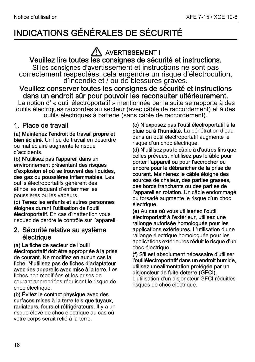# INDICATIONS GÉNÉRALES DE SÉCURITÉ

# AVERTISSEMENT!

# Veuillez lire toutes les consignes de sécurité et instructions.<br>Si les consignes d'avertissement et instructions ne sont pas

correctement respectées, cela engendre un risque d'électrocution, d'incendie et / ou de blessures graves.

### Veuillez conserver toutes les consignes de sécurité et instructions dans un endroit sûr pour pouvoir les reconsulter ultérieurement.

La notion d' « outil électroportatif » mentionnée par la suite se rapporte à des outils électriques raccordés au secteur (avec câble de raccordement) et à des outils électriques à batterie (sans câble de raccordement).

### 1. Place de travail

### (a) Maintenez l'endroit de travail propre et

bien éclairé. Un lieu de travail en désordre ou mal éclairé augmente le risque d'accidents.

#### (b) N'utilisez pas l'appareil dans un environnement présentant des risques d'explosion et où se trouvent des liquides, des gaz ou poussières inflammables. Les

outils électroportatifs génèrent des étincelles risquant d'enflammer les poussières ou les vapeurs.

### (c) Tenez les enfants et autres personnes éloignés durant l'utilisation de l'outil électroportatif. En cas d'inattention vous

risquez de perdre le contrôle sur l'appareil.

### 2. Sécurité relative au système électrique

(a) La fiche de secteur de l'outil électroportatif doit être appropriée à la prise de courant. Ne modifiez en aucun cas la fiche. N'utilisez pas de fiches d'adaptateur avec des appareils avec mise à la terre. Les fiches non modifiées et les prises de courant appropriées réduisent le risque de choc électrique.

(b) Évitez le contact physique avec des surfaces mises à la terre tels que tuyaux, radiateurs, fours et réfrigérateurs. Il y a un risque élevé de choc électrique au cas où votre corps serait relié à la terre.

(c) N'exposez pas l'outil électroportatif à la pluie ou à l'humidité. La pénétration d'eau dans un outil électroportatif augmente le risque d'un choc électrique.

(d) N'utilisez pas le câble à d'autres fins que celles prévues, n'utilisez pas le âble pour porter l'appareil ou pour l'accrocher ou encore pour le débrancher de la prise de courant. Maintenez le câble éloigné des sources de chaleur, des parties grasses, des bords tranchants ou des parties de l'appareil en rotation. Un câble endommagé ou torsadé augmente le risque d'un choc électrique.

#### (e) Au cas où vous utiliseriez l'outil électroportatif à l'extérieur, utilisez une rallonge autorisée homologuée pour les applications extérieures. L'utilisation d'une rallonge électrique homologuée pour les applications extérieures réduit le risque d'un choc électrique.

#### (f) S'il est absolument nécessaire d'utiliser l'outilélectroportatif dans un endroit humide, utilisez unealimentation protégée par un disjoncteur de fuite deterre (GFCI).

L'utilisation d'un disjoncteur GFCI réduitles risques de choc électrique.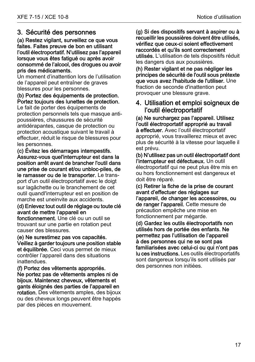### 3. Sécurité des personnes

(a) Restez vigilant, surveillez ce que vous faites. Faites preuve de bon en utilisant l'outil électroportatif. N'utilisez pas l'appareil lorsque vous êtes fatigué ou après avoir consommé de l'alcool, des drogues ou avoir pris des médicaments.

Un moment d'inattention lors de l'utilisation de l'appareil peut entraîner de graves blessures pour les personnes.

### (b) Portez des équipements de protection. Portez toujours des lunettes de protection.

Le fait de porter des équipements de protection personnels tels que masque antipoussières, chaussures de sécurité antidérapantes, casque de protection ou protection acoustique suivant le travail à effectuer, réduit le risque de blessures pour les personnes.

#### (c) Évitez les démarrages intempestifs. Assurez-vous quel'interrupteur est dans la position arrêt avant de brancher l'outil dans une prise de courant et/ou unbloc-piles, de le ramasser ou de le transporter. Le transport d'un outil électroportatif avec le doigt

sur lagâchette ou le branchement de cet outil quandl'interrupteur est en position de marche est uneinvite aux accidents.

#### (d) Enlevez tout outil de réglage ou toute clé avant de mettre l'appareil en

fonctionnement. Une clé ou un outil se trouvant sur une partie en rotation peut causer des blessures.

#### (e) Ne surestimez pas vos capacités. Veillez à garder toujours une position stable et équilibrée. Ceci vous permet de mieux contrôler l'appareil dans des situations inattendues.

(f) Portez des vêtements appropriés. Ne portez pas de vêtements amples ni de bijoux. Maintenez cheveux, vêtements et gants éloignés des parties de l'appareil en rotation. Des vêtements amples, des bijoux ou des cheveux longs peuvent être happés

par des pièces en mouvement.

(g) Si des dispositifs servant à aspirer ou à recueillir les poussières doivent être utilisés, vérifiez que ceux-ci soient effectivement raccordés et qu'ils sont correctement utilisés. L'utilisation de tels dispositifs réduit les dangers dus aux poussières.

(h) Rester vigilant et ne pas négliger les principes de sécurité de l'outil sous prétexte que vous avez l'habitude de l'utiliser. Une fraction de seconde d'inattention peut provoquer une blessure grave.

### 4. Utilisation et emploi soigneux de l'outil électroportatif

(a) Ne surchargez pas l'appareil. Utilisez l'outil électroportatif approprié au travail

à effectuer. Avec l'outil électroportatif approprié, vous travaillerez mieux et avec plus de sécurité à la vitesse pour laquelle il est prévu.

(b) N'utilisez pas un outil électroportatif dont l'interrupteur est défectueux. Un outil électroportatif qui ne peut plus être mis en ou hors fonctionnement est dangereux et doit être réparé.

(c) Retirer la fiche de la prise de courant avant d'effectuer des réglages sur l'appareil, de changer les accessoires, ou de ranger l'appareil. Cette mesure de précaution empêche une mise en fonctionnement par mégarde.

(d) Gardez les outils électroportatifs non utilisés hors de portée des enfants. Ne permettez pas l'utilisation de l'appareil à des personnes qui ne se sont pas familiarisées avec celui-ci ou qui n'ont pas lu ces instructions. Les outils électroportatifs sont dangereux lorsqu'ils sont utilisés par des personnes non initiées.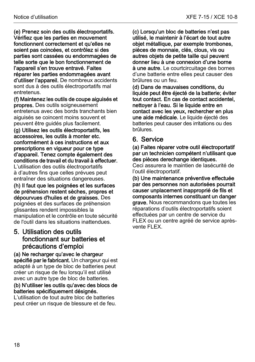(e) Prenez soin des outils électroportatifs. Vérifiez que les parties en mouvement fonctionnent correctement et qu'elles ne soient pas coincées, et contrôlez si des parties sont cassées ou endommagées de telle sorte que le bon fonctionnement de l'appareil s'en trouve entravé. Faites réparer les parties endommagées avant d'utiliser l'appareil. De nombreux accidents sont dus à des outils électroportatifs mal entretenus.

(f) Maintenez les outils de coupe aiguisés et propres. Des outils soigneusement entretenus avec des bords tranchants bien aiguisés se coincent moins souvent et peuvent être guidés plus facilement.

(g) Utilisez les outils électroportatifs, les accessoires, les outils à monter etc. conformément à ces instructions et aux prescriptions en vigueur pour ce type d'appareil. Tenez compte également des conditions de travail et du travail à effectuer. L'utilisation des outils électroportatifs à d'autres fins que celles prévues peut entraîner des situations dangereuses.

(h) Il faut que les poignées et les surfaces de préhension restent sèches, propres et dépourvues d'huiles et de graisses. Des poignées et des surfaces de préhension glissantes rendent impossibles la manipulation et le contrôle en toute sécurité de l'outil dans les situations inattendues.

5. Utilisation des outils fonctionnant sur batteries et précautions d'emploi

(a) Ne recharger qu'avec le chargeur spécifié par le fabricant. Un chargeur qui est adapté à un type de bloc de batteries peut créer un risque de feu lorsqu'il est utilisé avec un autre type de bloc de batteries.

(b) N'utiliser les outils qu'avec des blocs de batteries spécifiquement désignés.

L'utilisation de tout autre bloc de batteries peut créer un risque de blessure et de feu. (c) Lorsqu'un bloc de batteries n'est pas utilisé, le maintenir à l'écart de tout autre objet métallique, par exemple trombones, pièces de monnaie, clés, clous, vis ou autres objets de petite taille qui peuvent donner lieu à une connexion d'une borne à une autre. Le courtcircuitage des bornes d'une batterie entre elles peut causer des brûlures ou un feu.

(d) Dans de mauvaises conditions, du liquide peut être éjecté de la batterie; éviter tout contact. En cas de contact accidentel, nettoyer à l'eau. Si le liquide entre en contact avec les yeux, rechercher en plus une aide médicale. Le liquide éjecté des batteries peut causer des irritations ou des brûlures.

## 6. Service

(a) Faites réparer votre outil électroportatif par un technicien compétent n'utilisant que des pièces derechange identiques.

Ceci assurera le maintien de lasécurité de l'outil électroportatif.

(b) Une maintenance préventive effectuée par des personnes non autorisées pourrait causer unplacement inapproprié de fils et composants internes constituant un danger grave. Nous recommandons que toutes les réparations d'outils électroportatifs soient effectuées par un centre de service du FLEX ou un centre agréé de service aprèsvente FLEX.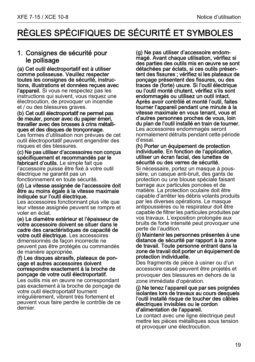# RÈGLES SPÉCIFIQUES DE SÉCURITÉ ET SYMBOLES

### 1. Consignes de sécurité pour le pollisage

(a) Cet outil électroportatif est à utiliser comme polisseuse. Veuillez respecter toutes les consignes de sécurité, instructions, illustrations et données reçues avec l'appareil. Si vous ne respectez pas les instructions qui suivent, vous risquez une électrocution, de provoquer un incendie et / ou des blessures graves.

(b) Cet outil électroportatif ne permet pas de meuler, poncer avec du papier émeri, travailler avec des brosses à crins métalliques et des disques de tronçonnage.

Les formes d'utilisation non prévues de cet outil électroportatif peuvent engendrer des risques et des blessures.

### (c) Ne pas utiliser d'accessoires non conçus spécifiquement et recommandés par le

fabricant d'outils. Le simple fait que l'accessoire puisse être fixé à votre outil électrique ne garantit pas un fonctionnement en toute sécurité.

(d) La vitesse assignée de l'accessoire doit être au moins égale à la vitesse maximale indiquée sur l'outil électrique.

Les accessoires fonctionnant plus vite que leur vitesse assignée peuvent se rompre et voler en éclat.

(e) Le diamètre extérieur et l'épaisseur de votre accessoire doivent se situer dans le cadre des caractéristiques de capacité de votre outil électrique. Les accessoires

dimensionnés de façon incorrecte ne peuvent pas être protégés ou commandés de manière appropriée.

#### (f) Les disques abrasifs, plateaux de ponçage et autres accessoires doivent correspondre exactement à la broche de ponçage de votre outil électroportatif.

Les outils mis en œuvre ne correspondant pas exactement à la broche de ponçage de votre outil électroportatif tournent irrégulièrement, vibrent très fortement et peuvent vous faire perdre le contrôle de ce dernier.

(g) Ne pas utiliser d'accessoire endommagé. Avant chaque utilisation, vérifiez si des parties des outils mis en œuvre se sont détachées par éclats, si ces outils présentent des fissures ; vérifiez si les plateaux de ponçage présentent des fissures, ou des traces de (forte) usure. Si l'outil électrique ou l'outil monté chutent, vérifiez s'ils sont endommagés ou utilisez un outil intact. Après avoir contrôlé et monté l'outil, faites tourner l'appareil pendant une minute à la vitesse maximale en vous tenant, vous et d'autres personnes proches de vous, loin du plan de l'outil installé en train de tourner.

Les accessoires endommagés seront normalement détruits pendant cette période d'essai.

#### (h) Porter un équipement de protection individuelle. En fonction de l'application, utiliser un écran facial, des lunettes de sécurité ou des verres de sécurité.

Si nécessaire, portez un masque à poussière, un casque anti-bruit, des gants de protection ou une blouse spéciale faisant barrage aux particules poncées et de matière. La protection oculaire doit être capable d'arrêter les débris volants produits par les diverses opérations. Le masque antipoussières ou le respirateur doit être capable de filtrer les particules produites par vos travaux. L'exposition prolongée aux bruits de forte intensité peut provoquer une perte de l'audition.

#### (i) Maintenir les personnes présentes à une distance de sécurité par rapport à la zone de travail. Toute personne entrant dans la zone de travail doit porter un équipement de protection individuelle.

Des fragments de pièce à usiner ou d'un accessoire cassé peuvent être projetés et provoquer des blessures en dehors de la zone immédiate d'opération.

#### (j) Ne tenez l'appareil que par ses poignées isolantes lors de travaux au cours desquels l'outil installé risque de toucher des câbles électriques invisibles ou le cordon d'alimentation de l'appareil.

Le contact avec une ligne électrique peut mettre les pièces métalliques sous tension et provoquer une électrocution.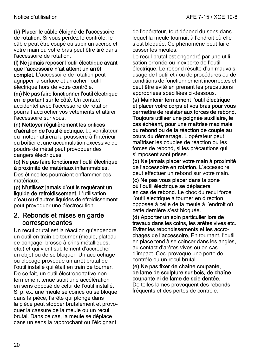### (k) Placer le câble éloigné de l'accessoire

de rotation. Si vous perdez le contrôle, le câble peut être coupé ou subir un accroc et votre main ou votre bras peut être tiré dans l'accessoire de rotation.

#### (l) Ne jamais reposer l'outil électrique avant que l'accessoire n'ait atteint un arrêt

complet. L'accessoire de rotation peut agripper la surface et arracher l'outil électrique hors de votre contrôle.

(m) Ne pas faire fonctionner l'outil électrique en le portant sur le côté. Un contact accidentel avec l'accessoire de rotation pourrait accrocher vos vêtements et attirer l'accessoire sur vous.

(n) Nettoyer régulièrement les orifices d'aération de l'outil électrique. Le ventilateur du moteur attirera la poussière à l'intérieur du boîtier et une accumulation excessive de poudre de métal peut provoquer des dangers électriques.

(o) Ne pas faire fonctionner l'outil électrique à proximité de matériaux inflammables.

Des étincelles pourraient enflammer ces matériaux.

(p) N'utilisez jamais d'outils requérant un liquide de refroidissement. L'utilisation d'eau ou d'autres liquides de efroidissement peut provoquer une électrocution.

### 2. Rebonds et mises en garde correspondantes

Un recul brutal est la réaction qu'engendre un outil en train de tourner (meule, plateau de ponçage, brosse à crins métalliques, etc.) et qui vient subitement d'accrocher un objet ou de se bloquer. Un accrochage ou blocage provoque un arrêt brutal de l'outil installé qui était en train de tourner. De ce fait, un outil électroportative non fermement tenue subit une accélération en sens opposé de celui de l'outil installé. Si p. ex. une meule se coince ou se bloque dans la pièce, l'arête qui plonge dans la pièce peut stopper brutalement et provoquer la cassure de la meule ou un recul brutal. Dans ce cas, la meule se déplace dans un sens la rapprochant ou l'éloignant

de l'opérateur, tout dépend du sens dans lequel la meule tournait à l'endroit où elle s'est bloquée. Ce phénomène peut faire casser les meules.

Le recul brutal est engendré par une utilisation erronée ou inexperte de l'outil électrique. Le rebond résulte d'un mauvais usage de l'outil et / ou de procédures ou de conditions de fonctionnement incorrectes et peut être évité en prenant les précautions appropriées spécifiées ci-dessous.

(a) Maintenir fermement l'outil électrique et placer votre corps et vos bras pour vous permettre de résister aux forces de rebond. Toujours utiliser une poignée auxiliaire, le cas échéant, pour une maîtrise maximale du rebond ou de la réaction de couple au cours du démarrage. L'opérateur peut maîtriser les couples de réaction ou les forces de rebond, si les précautions qui s'imposent sont prises.

(b) Ne jamais placer votre main à proximité de l'accessoire en rotation. L'accessoire peut effectuer un rebond sur votre main.

(c) Ne pas vous placer dans la zone où l'outil électrique se déplacera

en cas de rebond. Le choc du recul force l'outil électrique à tourner en direction opposée à celle de la meule à l'endroit où cette dernière s'est bloquée.

(d) Apporter un soin particulier lors de travaux dans les coins, les arêtes vives etc. Eviter les rebondissements et les accrochages de l'accessoire. En tournant, l'outil en place tend à se coincer dans les angles, au contact d'arêtes vives ou en cas d'impact. Ceci provoque une perte de contrôle ou un recul brutal.

(e) Ne pas fixer de chaîne coupante, de lame de sculpture sur bois, de chaîne coupante ni de lame de scie dentée.

De telles lames provoquent des rebonds fréquents et des pertes de contrôle.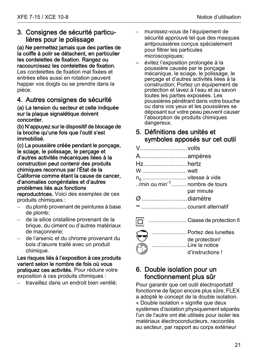pièce.

### 3. Consignes de sécurité particulières pour le polissage

#### (a) Ne permettez jamais que des parties de la coiffe à polir se détachent, en particulier les cordelettes de fixation. Rangez ou raccourcissez les cordelettes de fixation. Les cordelettes de fixation mal fixées et entrées elles aussi en rotation peuvent happer vos doigts ou se prendre dans la

### 4. Autres consignes de sécurité

(a) La tension du secteur et celle indiquée sur la plaque signalétique doivent concorder.

(b) N'appuyez sur le dispositif de blocage de la broche qu'une fois que l'outil s'est immobilisé.

(c) La poussière créée pendant le ponçage, le sciage, le polissage, le perçage et d'autres activités mécaniques liées à la construction peut contenir des produits chimiques reconnus par l'État de la Californie comme étant la cause de cancer, d'anomalies congénitales et d'autres problèmes liés aux fonctions

reproductrices. Voici des exemples de ces produits chimiques :

- du plomb provenant de peintures à base de plomb;
- de la silice cristalline provenant de la brique, du ciment ou d'autres matériaux de maçonnerie;
- de l'arsenic et du chrome provenant du bois d'œuvre traité avec un produit chimique.

Les risques liés à l'exposition à ces produits varient selon le nombre de fois où vous pratiquez ces activités. Pour réduire votre exposition à ces produits chimiques :

travaillez dans un endroit bien ventilé;

- munissez-vous de l'équipement de sécurité approuvé tel que des masques antipoussières conçus spécialement pour filtrer les particules microscopiques;
- évitez l'exposition prolongée à la poussière causée par le ponçage mécanique, le sciage, le polissage, le perçage et d'autres activités liées à la construction; Portez un équipement de protection et lavez à l'eau et au savon toutes les parties exposées. Les poussières pénétrant dans votre bouche ou dans vos yeux et les poussières se déposant sur votre peau peuvent causer l'absorption de produits chimiques dangereux.

### 5. Définitions des unités et symboles apposés sur cet outil

| Hzhertz                                   |
|-------------------------------------------|
| W  watt                                   |
| n <sub>o</sub> vitesse à vide             |
| /min ou min <sup>-1</sup> nombre de tours |
| par minute                                |
| diamètre                                  |
| $\thicksim$ ………………………… courant alternatif |
| Classe de protection II                   |
| Portez des lunettes                       |
| de protection!                            |
| Lire la notice                            |
| d'instructions!                           |
|                                           |

### 6. Double isolation pour un fonctionnement plus sûr

Pour garantir que cet outil électroportatif fonctionne de façon encore plus sûre, FLEX a adopté le concept de la double isolation. « Double isolation » signifie que deux systèmes d'isolation physiquement séparés l'un de l'autre ont été utilisés pour isoler les matériaux électroconducteurs, raccordés au secteur, par rapport au corps extérieur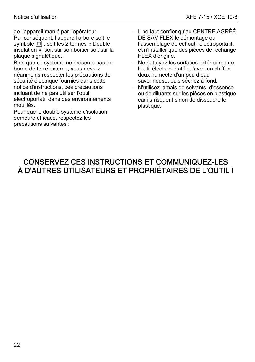de l'appareil manié par l'opérateur. Par conséquent, l'appareil arbore soit le symbole  $\Box$ , soit les 2 termes « Double insulation », soit sur son boîtier soit sur la plaque signalétique.

Bien que ce système ne présente pas de borne de terre externe, vous devrez néanmoins respecter les précautions de sécurité électrique fournies dans cette notice d'instructions, ces précautions incluant de ne pas utiliser l'outil électroportatif dans des environnements mouillés.

Pour que le double système d'isolation demeure efficace, respectez les précautions suivantes :

- Il ne faut confier qu'au CENTRE AGRÉÉ DE SAV FLEX le démontage ou l'assemblage de cet outil électroportatif, et n'installer que des pièces de rechange FLEX d'origine.
- Ne nettoyez les surfaces extérieures de l'outil électroportatif qu'avec un chiffon doux humecté d'un peu d'eau savonneuse, puis séchez à fond.
- N'utilisez jamais de solvants, d'essence ou de diluants sur les pièces en plastique car ils risquent sinon de dissoudre le plastique.

# CONSERVEZ CES INSTRUCTIONS ET COMMUNIQUEZ-LES À D'AUTRES UTILISATEURS ET PROPRIÉTAIRES DE L'OUTIL !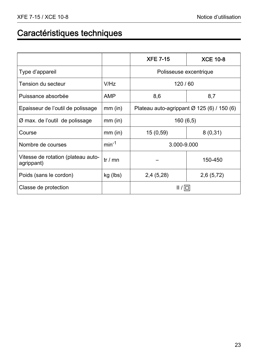# Caractéristiques techniques

|                                                  |            | <b>XFE 7-15</b>                                        | <b>XCE 10-8</b> |
|--------------------------------------------------|------------|--------------------------------------------------------|-----------------|
| Type d'appareil                                  |            | Polisseuse excentrique                                 |                 |
| Tension du secteur                               | V/Hz       | 120/60                                                 |                 |
| Puissance absorbée                               | AMP        | 8,6                                                    | 8,7             |
| Epaisseur de l'outil de polissage                | $mm$ (in)  | Plateau auto-agrippant $\varnothing$ 125 (6) / 150 (6) |                 |
| Ø max. de l'outil de polissage                   | $mm$ (in)  | 160 (6,5)                                              |                 |
| Course                                           | $mm$ (in)  | 15(0,59)                                               | 8(0,31)         |
| Nombre de courses                                | $min^{-1}$ | 3.000-9.000                                            |                 |
| Vitesse de rotation (plateau auto-<br>agrippant) | tr / mn    |                                                        | 150-450         |
| Poids (sans le cordon)                           | kg (lbs)   | 2,4(5,28)                                              | 2,6(5,72)       |
| Classe de protection                             |            | /   □                                                  |                 |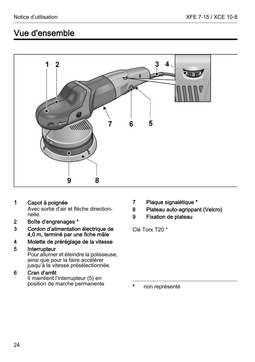# Vue d'ensemble



### 1 Capot à poignée

Avec sortie d'air et flèche directionnelle.

- 2 Boîte d'engrenages \*
- 3 Cordon d'alimentation électrique de 4,0 m, terminé par une fiche mâle
- 4 Molette de préréglage de la vitesse

#### 5 Interrupteur Pour allumer et éteindre la polisseuse, ainsi que pour la faire accélérer jusqu'à la vitesse présélectionnée.

### 6 Cran d'arrêt

Il maintient l'interrupteur (5) en position de marche permanente

- 7 Plaque signalétique \*
- 8 Plateau auto-agrippant (Velcro)
- 9 Fixation de plateau

Clé Torx T20 \*

non représenté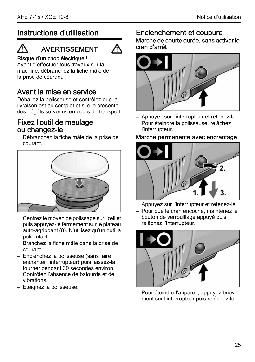# Instructions d'utilisation

# AVERTISSEMENT

### Risque d'un choc électrique !

Avant d'effectuer tous travaux sur la machine, débranchez la fiche mâle de la prise de courant.

# Avant la mise en service

Déballez la polisseuse et contrôlez que la livraison est au complet et si elle présente des dégâts survenus en cours de transport.

### Fixez l'outil de meulage ou changez-le

– Débranchez la fiche mâle de la prise de courant.



- Centrez le moyen de polissage sur l'œillet puis appuyez-le fermement sur le plateau auto-agrippant (8). N'utilisez qu'un outil à polir intact.
- Branchez la fiche mâle dans la prise de courant.
- Enclenchez la polisseuse (sans faire encranter l'interrupteur) puis laissez-la tourner pendant 30 secondes environ. Contrôlez l'absence de balourds et de vibrations.
- Eteignez la polisseuse.

### Enclenchement et coupure Marche de courte durée, sans activer le cran d'arrêt



- Appuyez sur l'interrupteur et retenez-le.
- Pour éteindre la polisseuse, relâchez l'interrupteur.

### Marche permanente avec encrantage



- Appuyez sur l'interrupteur et retenez-le.
- Pour que le cran encoche, maintenez le bouton de verrouillage appuyé puis relâchez l'interrupteur.



– Pour éteindre l'appareil, appuyez brièvement sur l'interrupteur puis relâchez-le.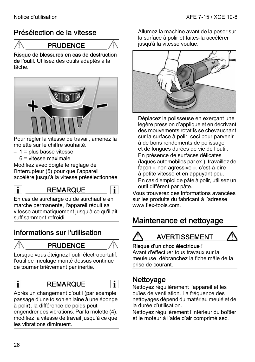# Présélection de la vitesse



**PRUDENCE** 

Risque de blessures en cas de destruction de l'outil. Utilisez des outils adaptés à la tâche.



Pour régler la vitesse de travail, amenez la molette sur le chiffre souhaité.

- $-1$  = plus basse vitesse
- 6 = vitesse maximale

Modifiez avec doigté le réglage de l'interrupteur (5) pour que l'appareil accélère jusqu'à la vitesse présélectionnée

 $\mathbf{i}$ **REMARQUE** 



En cas de surcharge ou de surchauffe en marche permanente, l'appareil réduit sa vitesse automatiquement jusqu'à ce qu'il ait suffisamment refroidi.

# Informations sur l'utilisation

# PRUDENCE

Lorsque vous éteignez l'outil électroportatif, l'outil de meulage monté dessus continue de tourner brièvement par inertie.

# **REMARQUE**

Après un changement d'outil (par exemple passage d'une toison en laine à une éponge à polir), la différence de poids peut engendrer des vibrations. Par la molette (4), modifiez la vitesse de travail jusqu'à ce que les vibrations diminuent.

– Allumez la machine avant de la poser sur la surface à polir et faites-la accélérer jusqu'à la vitesse voulue.



- Déplacez la polisseuse en exerçant une légère pression d'applique et en décrivant des mouvements rotatifs se chevauchant sur la surface à polir, ceci pour parvenir à de bons rendements de polissage et de longues durées de vie de l'outil.
- En présence de surfaces délicates (laques automobiles par ex.), travaillez de façon « non agressive », c'est-à-dire à petite vitesse et en appuyant peu.
- En cas d'emploi de pâte à polir, utilisez un outil différent par pâte.

Vous trouverez des informations avancées sur les produits du fabricant à l'adresse www.flex-tools.com.

# Maintenance et nettoyage



AVERTISSEMENT



### Risque d'un choc électrique !

Avant d'effectuer tous travaux sur la meuleuse, débranchez la fiche mâle de la prise de courant.

# Nettoyage

Nettoyez régulièrement l'appareil et les ouïes de ventilation. La fréquence des nettoyages dépend du matériau meulé et de la durée d'utilisation.

Nettoyez régulièrement l'intérieur du boîtier et le moteur à l'aide d'air comprimé sec.

LŤ.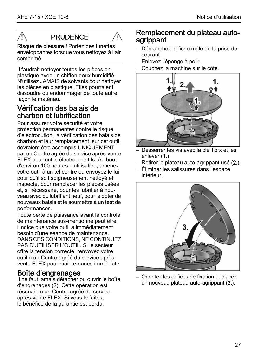# PRUDENCE

Risque de blessure ! Portez des lunettes enveloppantes lorsque vous nettoyez à l'air comprimé.

Il faudrait nettoyer toutes les pièces en plastique avec un chiffon doux humidifié. N'utilisez JAMAIS de solvants pour nettoyer les pièces en plastique. Elles pourraient dissoudre ou endommager de toute autre façon le matériau.

# Vérification des balais de charbon et lubrification

Pour assurer votre sécurité et votre protection permanentes contre le risque d'électrocution, la vérification des balais de charbon et leur remplacement, sur cet outil, devraient être accomplis UNIQUEMENT par un Centre agréé du service après-vente FLEX pour outils électroportatifs. Au bout d'environ 100 heures d'utilisation, amenez votre outil à un tel centre ou envoyez le lui pour qu'il soit soigneusement nettoyé et inspecté, pour remplacer les pièces usées et, si nécessaire, pour les lubrifier à nouveau avec du lubrifiant neuf, pour le doter de nouveaux balais et le soumettre à un test de performances.

Toute perte de puissance avant le contrôle de maintenance sus-mentionné peut être l'indice que votre outil a immédiatement besoin d'une séance de maintenance. DANS CES CONDITIONS, NE CONTINUEZ PAS D'UTILISER L'OUTIL. Si le secteur offre la tension correcte, renvoyez votre outil à un Centre agréé du service aprèsvente FLEX pour mainte-nance immédiate.

### Boîte d'engrenages

Il ne faut jamais détacher ou ouvrir le boîte d'engrenages (2). Cette opération est réservée à un Centre agréé du service après-vente FLEX. Si vous le faites, le bénéfice de la garantie est perdu.

### Remplacement du plateau autoagrippant

- Débranchez la fiche mâle de la prise de courant.
- Enlevez l'éponge à polir.
- Couchez la machine sur le côté.



- Desserrer les vis avec la clé Torx et les enlever (1.).
- Retirer le plateau auto-agrippant usé (2.).
- Éliminer les salissures dans l'espace intérieur.



– Orientez les orifices de fixation et placez un nouveau plateau auto-agrippant (3.).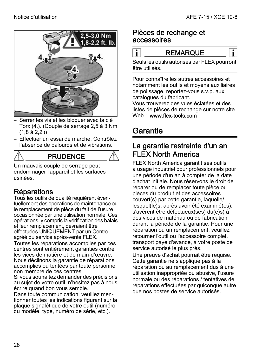

- Serrer les vis et les bloquer avec la clé Torx (4.). (Couple de serrage 2,5 à 3 Nm (1,8 à 2,2'))
- Effectuer un essai de marche. Contrôlez l'absence de balourds et de vibrations.

# PRUDENCE

Un mauvais couple de serrage peut endommager l'appareil et les surfaces usinées.

# Réparations

Tous les outils de qualité requièrent éventuellement des opérations de maintenance ou le remplacement de pièce du fait de l'usure occasionnée par une utilisation normale. Ces opérations, y compris la vérification des balais et leur remplacement, devraient être effectuées UNIQUEMENT par un Centre agréé du service après-vente FLEX. Toutes les réparations accomplies par ces centres sont entièrement garanties contre les vices de matière et de main-d'œuvre. Nous déclinons la garantie de réparations accomplies ou tentées par toute personne non membre de ces centres.

Si vous souhaitez demander des précisions au sujet de votre outil, n'hésitez pas à nous écrire quand bon vous semble.

Dans toute communication, veuillez mentionner toutes les indications figurant sur la plaque signalétique de votre outil (numéro du modèle, type, numéro de série, etc.).

### Pièces de rechange et accessoires



l Ť



Seuls les outils autorisés par FLEX pourront être utilisés.

Pour connaître les autres accessoires et notamment les outils et moyens auxiliaires de polissage, reportez-vous s.v.p. aux catalogues du fabricant.

Vous trouverez des vues éclatées et des listes de pièces de rechange sur notre site Web : www.flex-tools.com

# Garantie

# La garantie restreinte d'un an FLEX North America

FLEX North America garantit ses outils à usage industriel pour professionnels pour une période d'un an à compter de la date d'achat initiale. Nous réservons le droit de réparer ou de remplacer toute pièce ou pièces du produit et des accessoires couvert(s) par cette garantie, laquelle/ lesquel(le)s, après avoir été examiné(es), s'avèrent être défectueux(ses) du(e)s) à des vices de matériau ou de fabrication durant la période de la garantie. Pour une réparation ou un remplacement, veuillez retourner l'outil ou l'accessoire complet, transport payé d'avance, à votre poste de service autorisé le plus près.

Une preuve d'achat pourrait être requise. Cette garantie ne s'applique pas à la réparation ou au remplacement dus à une utilisation inappropriée ou abusive, l'usure normale ou des réparations / tentatives de réparations effectuées par quiconque autre que nos postes de service autorisés.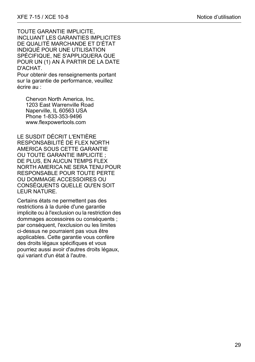TOUTE GARANTIE IMPLICITE, INCLUANT LES GARANTIES IMPLICITES DE QUALITÉ MARCHANDE ET D'ÉTAT INDIQUÉ POUR UNE UTILISATION SPÉCIFIQUE, NE S'APPLIQUERA QUE POUR UN (1) AN À PARTIR DE LA DATE D'ACHAT.

Pour obtenir des renseignements portant sur la garantie de performance, veuillez écrire au :

Chervon North America, Inc. 1203 East Warrenville Road Naperville, IL 60563 USA Phone 1-833-353-9496 www.flexpowertools.com

LE SUSDIT DÉCRIT L'ENTIÈRE RESPONSABILITÉ DE FLEX NORTH AMERICA SOUS CETTE GARANTIE OU TOUTE GARANTIE IMPLICITE ; DE PLUS, EN AUCUN TEMPS FLEX NORTH AMERICA NE SERA TENU POUR RESPONSABLE POUR TOUTE PERTE OU DOMMAGE ACCESSOIRES OU CONSÉQUENTS QUELLE QU'EN SOIT LEUR NATURE.

Certains états ne permettent pas des restrictions à la durée d'une garantie implicite ou à l'exclusion ou la restriction des dommages accessoires ou conséquents ; par conséquent, l'exclusion ou les limites ci-dessus ne pourraient pas vous être applicables. Cette garantie vous confère des droits légaux spécifiques et vous pourriez aussi avoir d'autres droits légaux, qui variant d'un état à l'autre.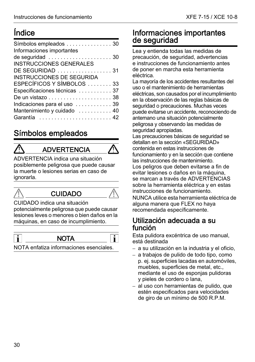# Índice

| Símbolos empleados 30            |  |
|----------------------------------|--|
| Informaciones importantes        |  |
|                                  |  |
| <b>INSTRUCCIONES GENERALES</b>   |  |
| DE SEGURIDAD  31                 |  |
| <b>INSTRUCCIONES DE SEGURIDA</b> |  |
| ESPECÍFICOS Y SÍMBOLOS 33        |  |
| Especificaciones técnicas  37    |  |
|                                  |  |
| Indicaciones para el uso  39     |  |
| Mantenimiento y cuidado  40      |  |
| Garantía  42                     |  |

# Símbolos empleados



ADVERTENCIA



ADVERTENCIA indica una situación posiblemente peligrosa que puede causar la muerte o lesiones serias en caso de ignorarla.



# CUIDADO

CUIDADO indica una situación potencialmente peligrosa que puede causar lesiones leves o menores o bien daños en la

máquinas, en caso de incumplimiento.



NOTA

NOTA enfatiza informaciones esenciales.

# Informaciones importantes de seguridad

Lea y entienda todas las medidas de precaución, de seguridad, advertencias e instrucciones de funcionamiento antes de poner en marcha esta herramienta eléctrica.

La mayoría de los accidentes resultantes del uso o el mantenimiento de herramientas eléctricas, son causados por el incumplimiento en la observación de las reglas básicas de seguridad o precauciones. Muchas veces puede evitarse un accidente, reconociendo de antemano una situación potencialmente peligrosa y observando las medidas de seguridad apropiadas.

Las precauciones básicas de seguridad se detallan en la sección «SEGURIDAD» contenida en estas instrucciones de funcionamiento y en la sección que contiene las instrucciones de mantenimiento. Los peligros que deben evitarse a fin de evitar lesiones o daños en la máquina, se marcan a través de ADVERTENCIAS sobre la herramienta eléctrica y en estas instrucciones de funcionamiento.

NUNCA utilice esta herramienta eléctrica de alguna manera que FLEX no haya recomendada específicamente.

## Utilización adecuada a su función

Esta pulidora excéntrica de uso manual, está destinada

- a su utilización en la industria y el oficio,
- a trabajos de pulido de todo tipo, como p. ej. superficies lacadas en automóviles, muebles, superficies de metal, etc., mediante el uso de esponjas pulidoras y pieles de cordero o lana,
- al uso con herramientas de pulido, que estén especificados para velocidades de giro de un mínimo de 500 R.P.M.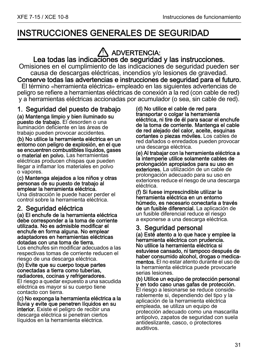# INSTRUCCIONES GENERALES DE SEGURIDAD

# AN ADVERTENCIA:

# Lea todas las indicaciones de seguridad y las instrucciones.

Omisiones en el cumplimiento de las indicaciones de seguridad pueden ser causa de descargas eléctricas, incendios y/o lesiones de gravedad.

Conserve todas las advertencias e instrucciones de seguridad para el futuro. El término «herramienta eléctrica» empleado en las siguientes advertencias de peligro se refiere a herramientas eléctricas de conexión a la red (con cable de red)

y a herramientas eléctricas accionadas por acumulador (o sea, sin cable de red).

# 1. Seguridad del puesto de trabajo

(a) Mantenga limpio y bien iluminado su puesto de trabajo. El desorden o una iluminación deficiente en las áreas de trabajo pueden provocar accidentes.

(b) No utilice la herramienta eléctrica en un entorno con peligro de explosión, en el que se encuentren combustibles líquidos, gases o material en polvo. Las herramientas eléctricas producen chispas que pueden llegar a inflamar los materiales en polvo o vapores.

#### (c) Mantenga alejados a los niños y otras personas de su puesto de trabajo al emplear la herramienta eléctrica.

Una distracción le puede hacer perder el control sobre la herramienta eléctrica.

### 2. Seguridad eléctrica

(a) El enchufe de la herramienta eléctrica debe corresponder a la toma de corriente utilizada. No es admisible modificar el enchufe en forma alguna. No emplear adaptadores en herramientas eléctricas dotadas con una toma de tierra.

Los enchufes sin modificar adecuados a las respectivas tomas de corriente reducen el riesgo de una descarga eléctrica.

#### (b) Evite que su cuerpo toque partes conectadas a tierra como tuberías, radiadores, cocinas y refrigeradores.

El riesgo a quedar expuesto a una sacudida eléctrica es mayor si su cuerpo tiene contacto con tierra.

#### (c) No exponga la herramienta eléctrica a la lluvia y evite que penetren líquidos en su

interior. Existe el peligro de recibir una descarga eléctrica si penetran ciertos líquidos en la herramienta eléctrica.

(d) No utilice el cable de red para transportar o colgar la herramienta eléctrica, ni tire de él para sacar el enchufe de la toma de corriente. Mantenga el cable de red alejado del calor, aceite, esquinas cortantes o piezas móviles. Los cables de red dañados o enredados pueden provocar una descarga eléctrica.

(e) Al trabajar con la herramienta eléctrica a la intemperie utilice solamente cables de prolongación apropiados para su uso en exteriores. La utilización de un cable de prolongación adecuado para su uso en exteriores reduce el riesgo de una descarga eléctrica.

(f) Si fuese imprescindible utilizar la herramienta eléctrica en un entorno húmedo, es necesario conectarla a través de un fusible diferencial. La aplicación de un fusible diferencial reduce el riesgo a exponerse a una descarga eléctrica.

### 3. Seguridad personal

(a) Esté atento a lo que hace y emplee la herramienta eléctrica con prudencia. No utilice la herramienta eléctrica si estuviese cansado, ni tampoco después de haber consumido alcohol, drogas o medicamentos. El no estar atento durante el uso de la herramienta eléctrica puede provocarle serias lesiones.

(b) Utilice un equipo de protección personal y en todo caso unas gafas de protección. El riesgo a lesionarse se reduce considerablemente si, dependiendo del tipo y la aplicación de la herramienta eléctrica empleada, se utiliza un equipo de protección adecuado como una mascarilla antipolvo, zapatos de seguridad con suela antideslizante, casco, o protectores auditivos.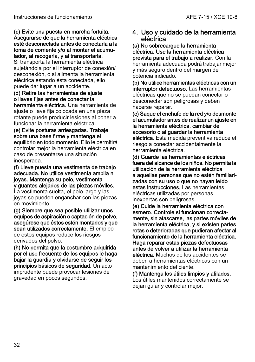### (c) Evite una puesta en marcha fortuita. Asegurarse de que la herramienta eléctrica esté desconectada antes de conectarla a la toma de corriente y/o al montar el acumulador, al recogerla, y al transportarla.

Si transporta la herramienta eléctrica sujetándola por el interruptor de conexión/ desconexión, o si alimenta la herramienta eléctrica estando ésta conectada, ello puede dar lugar a un accidente.

### (d) Retire las herramientas de ajuste o llaves fijas antes de conectar la

herramienta eléctrica. Una herramienta de ajuste o llave fija colocada en una pieza rotante puede producir lesiones al poner a funcionar la herramienta eléctrica.

#### (e) Evite posturas arriesgadas. Trabaje sobre una base firme y mantenga el equilibrio en todo momento. Ello le permitirá controlar mejor la herramienta eléctrica en caso de presentarse una situación inesperada.

(f) Lleve puesta una vestimenta de trabajo adecuada. No utilice vestimenta amplia ni joyas. Mantenga su pelo, vestimenta y guantes alejados de las piezas móviles.

La vestimenta suelta, el pelo largo y las joyas se pueden enganchar con las piezas en movimiento.

(g) Siempre que sea posible utilizar unos equipos de aspiración o captación de polvo, asegúrese que éstos estén montados y que sean utilizados correctamente. El empleo de estos equipos reduce los riesgos derivados del polvo.

(h) No permita que la costumbre adquirida por el uso frecuente de los equipos le haga bajar la guardia y olvidarse de seguir los principios básicos de seguridad. Un acto imprudente puede provocar lesiones de gravedad en pocos segundos.

### 4. Uso y cuidado de la herramienta eléctrica

### (a) No sobrecargue la herramienta eléctrica. Use la herramienta eléctrica prevista para el trabajo a realizar. Con la

herramienta adecuada podrá trabajar mejor y más seguro dentro del margen de potencia indicado.

(b) No utilice herramientas eléctricas con un interruptor defectuoso. Las herramientas eléctricas que no se puedan conectar o desconectar son peligrosas y deben hacerse reparar.

(c) Saque el enchufe de la red y/o desmonte el acumulador antes de realizar un ajuste en la herramienta eléctrica, cambiar de accesorio o al guardar la herramienta eléctrica. Esta medida preventiva reduce el riesgo a conectar accidentalmente la herramienta eléctrica.

(d) Guarde las herramientas eléctricas fuera del alcance de los niños. No permita la utilización de la herramienta eléctrica a aquellas personas que no estén familiarizadas con su uso o que no hayan leído estas instrucciones. Las herramientas eléctricas utilizadas por personas inexpertas son peligrosas.

(e) Cuide la herramienta eléctrica con esmero. Controle si funcionan correctamente, sin atascarse, las partes móviles de la herramienta eléctrica, y si existen partes rotas o deterioradas que pudieran afectar al funcionamiento de la herramienta eléctrica. Haga reparar estas piezas defectuosas antes de volver a utilizar la herramienta eléctrica. Muchos de los accidentes se deben a herramientas eléctricas con un mantenimiento deficiente.

(f) Mantenga los útiles limpios y afilados. Los útiles mantenidos correctamente se dejan guiar y controlar mejor.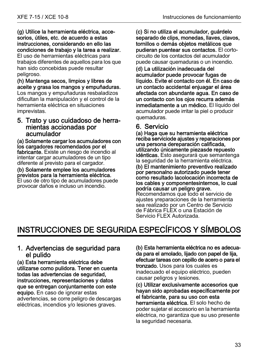#### (g) Utilice la herramienta eléctrica, accesorios, útiles, etc. de acuerdo a estas instrucciones, considerando en ello las condiciones de trabajo y la tarea a realizar.

El uso de herramientas eléctricas para trabajos diferentes de aquellos para los que han sido concebidas puede resultar peligroso.

### (h) Mantenga secos, limpios y libres de aceite y grasa los mangos y empuñaduras.

Los mangos y empuñaduras resbaladizos dificultan la manipulación y el control de la herramienta eléctrica en situaciones imprevistas.

### 5. Trato y uso cuidadoso de herramientas accionadas por acumulador

(a) Solamente cargar los acumuladores con los cargadores recomendados por el fabricante. Existe un riesgo de incendio al intentar cargar acumuladores de un tipo diferente al previsto para el cargador.

(b) Solamente emplee los acumuladores previstos para la herramienta eléctrica. El uso de otro tipo de acumuladores puede provocar daños e incluso un incendio.

(c) Si no utiliza el acumulador, guárdelo separado de clips, monedas, llaves, clavos, tornillos o demás objetos metálicos que pudieran puentear sus contactos. El cortocircuito de los contactos del acumulador puede causar quemaduras o un incendio.

(d) La utilización inadecuada del acumulador puede provocar fugas de líquido. Evite el contacto con él. En caso de un contacto accidental enjuagar el área afectada con abundante agua. En caso de un contacto con los ojos recurra además inmediatamente a un médico. El líquido del acumulador puede irritar la piel o producir quemaduras.

### 6. Servicio

(a) Haga que su herramienta eléctrica reciba serviciode ajustes y reparaciones por una persona dereparación calificada, utilizando únicamente piezasde repuesto idénticas. Esto asegurará que semantenga la seguridad de la herramienta eléctrica.

(b) El mantenimiento preventivo realizado por personalno autorizado puede tener como resultado lacolocación incorrecta de los cables y componentesinternos, lo cual podría causar un peligro grave.

Recomendamos que todo el servicio de ajustes yreparaciones de la herramienta sea realizado por un Centro de Servicio de Fábrica FLEX o una Estación de Servicio FLEX Autorizada.

# INSTRUCCIONES DE SEGURIDA ESPECÍFICOS Y SÍMBOLOS

### 1. Advertencias de seguridad para el pulido

(a) Esta herramienta eléctrica debe utilizarse como pulidora. Tener en cuenta todas las advertencias de seguridad, instrucciones, representaciones y datos que se entregan conjuntamente con este equipo. En caso de ignorar estas advertencias, se corre peligro de descargas eléctricas, incendios y/o lesiones graves.

(b) Esta herramienta eléctrica no es adecuada para el amolado, lijado con papel de lija, efectuar tareas con cepillo de acero o para el tronzado. Usos para los cuales es inadecuado el equipo eléctrico, pueden causar peligros y lesiones.

(c) Utilizar exclusivamente accesorios que hayan sido aprobadas específicamente por el fabricante, para su uso con esta herramienta eléctrica. El solo hecho de poder sujetar el accesorio en la herramienta eléctrica, no garantiza que su uso presente la seguridad necesaria.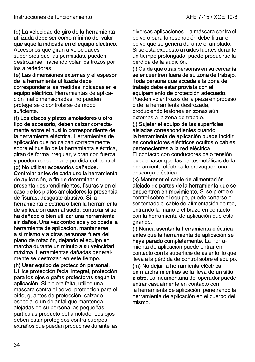### (d) La velocidad de giro de la herramienta utilizada debe ser como mínimo del valor que aquella indicada en el equipo eléctrico.

Accesorios que giran a velocidades superiores que las permitidas, pueden destrozarse, haciendo volar los trozos por los alrededores.

(e) Las dimensiones externas y el espesor de la herramienta utilizada debe corresponder a las medidas indicadas en el equipo eléctrico. Herramientas de aplicación mal dimensionadas, no pueden protegerse o controlarse de modo suficiente.

(f) Los discos y platos amoladores u otro tipo de accesorio, deben calzar correctamente sobre el husillo correspondiente de la herramienta eléctrica. Herramientas de aplicación que no calzan correctamente sobre el husillo de la herramienta eléctrica, giran de forma irregular, vibran con fuerza y pueden conducir a la perdida del control.

(g) No utilizar accesorios dañados. Controlar antes de cada uso la herramienta de aplicación, a fin de determinar si presenta desprendimientos, fisuras y en el caso de los platos amoladores la presencia de fisuras, desgaste abusivo. Si la herramienta eléctrica o bien la herramienta de aplicación caen al suelo, controlar si se ha dañado o bien utilizar una herramienta sin daños. Una vez controlada y colocada la herramienta de aplicación, mantenerse a sí mismo y a otras personas fuera del plano de rotación, dejando el equipo en marcha durante un minuto a su velocidad máxima. Herramientas dañadas generalmente se destrozan en este tiempo.

(h) Usar equipo de protección personal. Utilice protección facial integral, protección para los ojos o gafas protectoras según la aplicación. Si hiciera falta, utilice una máscara contra el polvo, protección para el oído, guantes de protección, calzado especial o un delantal que mantenga alejadas de su persona las pequeñas partículas producto del amolado. Los ojos deben estar protegidos contra cuerpos extraños que puedan producirse durante las diversas aplicaciones. La máscara contra el polvo o para la respiración debe filtrar el polvo que se genera durante el amolado. Si se está expuesto a ruidos fuertes durante un tiempo prolongado, puede producirse la pérdida de la audición.

#### (i) Cuide que otras personas en su cercanía se encuentren fuera de su zona de trabajo. Toda persona que acceda a la zona de trabajo debe estar provista con el equipamiento de protección adecuado.

Pueden volar trozos de la pieza en proceso o de la herramienta destrozada, produciendo lesiones en zonas aún externas a la zona de trabajo.

#### (j) Sujetar el equipo de las superficies aisladas correspondientes cuando la herramienta de aplicación puede incidir en conductores eléctricos ocultos o cables pertenecientes a la red eléctrica.

El contacto con conductores bajo tensión puede hacer que las partesmetálicas de la herramienta eléctrica le provoquen una descarga eléctrica.

(k) Mantener el cable de alimentación alejado de partes de la herramienta que se encuentren en movimiento. Si se pierde el control sobre el equipo, puede cortarse o ser tomado el cable de alimentación de red, entrando la mano o el brazo en contacto con la herramienta de aplicación que está girando.

(l) Nunca asentar la herramienta eléctrica antes que la herramienta de aplicación se haya parado completamente. La herramienta de aplicación puede entrar en contacto con la superficie de asiento, lo que lleva a la pérdida de control sobre el equipo.

(m) No dejar la herramienta eléctrica en marcha mientras se la lleva de un sitio a otro. La indumentaria del operador puede entrar casualmente en contacto con la herramienta de aplicación, penetrando la herramienta de aplicación en el cuerpo del mismo.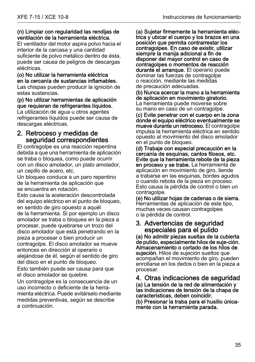### (n) Limpiar con regularidad las rendijas de ventilación de la herramienta eléctrica.

El ventilador del motor aspira polvo hacia el interior de la carcasa y una cantidad suficiente de polvo metálico dentro de ésta, puede ser causa de peligros de descargas eléctricas.

### (o) No utilizar la herramienta eléctrica en la cercanía de sustancias inflamables.

Las chispas pueden producir la ignición de estas sustancias.

### (p) No utilizar herramientas de aplicación que requieran de refrigerantes líquidos.

La utilización de agua u otros agentes refrigerantes líquidos puede ser causa de descargas eléctricas.

### 2. Retroceso y medidas de seguridad correspondientes

El contragolpe es una reacción repentina debida a que una herramienta de aplicación se traba o bloquea, como puede ocurrir con un disco amolador, un plato amolador, un cepillo de acero, etc.

Un bloqueo conduce a un paro repentino de la herramienta de aplicación que se encuentra en rotación.

Esto causa la aceleración descontrolada del equipo eléctrico en el punto de bloqueo, en sentido de giro opuesto a aquél de la herramienta. Si por ejemplo un disco amolador se traba o bloquea en la pieza a procesar, puede quebrarse un trozo del disco amolador que está penetrando en la pieza a procesar o bien producir un contragolpe. El disco amolador se mueve entonces en dirección al operario o alejándose de él, según el sentido de giro del disco en el punto de bloqueo.

Esto también puede ser causa para que el disco amolador se quiebre.

Un contragolpe es la consecuencia de un uso incorrecto o deficiente de la herramienta eléctrica. Puede evitárselo mediante medidas preventivas, según se describe a continuación.

(a) Sujetar firmemente la herramienta eléctrica y ubicar el cuerpo y los brazos en una posición que permita contrarrestar los contragolpes. En caso de existir, utilizar siempre la manija adicional a fin de disponer del mayor control en caso de contragolpes o momentos de reacción durante el arranque. El operario puede dominar las fuerzas de contragolpe o reacción, mediante las medidas de precaución adecuadas.

(b) Nunca acercar la mano a la herramienta de aplicación en movimiento giratorio.

La herramienta puede moverse sobre su mano en caso de un contragolpe.

(c) Evite penetrar con el cuerpo en la zona donde el equipo eléctrico eventualmente se mueve durante un retroceso. El contragolpe impulsa la herramienta eléctrica en sentido opuesto al movimiento del disco amolador en el punto de bloqueo.

(d) Trabaje con especial precaución en la cercanía de esquinas, cantos filosos, etc. Evite que la herramienta rebote de la pieza en proceso y se trabe. La herramienta de aplicación en movimiento de giro, tiende a trabarse en las esquinas, bordes agudos o cuando rebota de la pieza en proceso. Esto causa la pérdida de control o bien un contragolpe.

(e) No utilizar hojas de cadenas o de sierra. Herramientas de aplicación de este tipo, muchas veces causan contragolpes o la pérdida de control.

### 3. Advertencias de seguridad especiales para el pulido

(a) No admitir piezas sueltas de la cubierta de pulido, especialmente hilos de suje-ción. Almacenamiento o cortado de los hilos de sujeción. Hilos de sujeción sueltos que acompañan el movimiento de giro, pueden enrollarse en los dedos o bien en la pieza a procesar.

### 4. Otras indicaciones de seguridad (a) La tensión de la red de alimentación y las indicaciones de tensión de la chapa de características, deben coincidir.

(b) Presionar la traba para el husillo únicamente con la herramienta parada.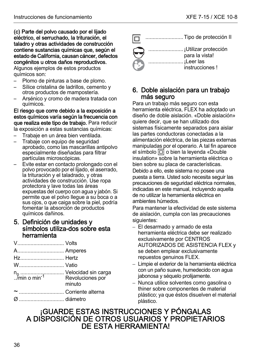### (c) Parte del polvo causado por el lijado eléctrico, el serruchado, la trituración, el taladro y otras actividades de construcción contiene sustancias químicas que, según el estado de California, causan cáncer, defectos congénitos u otros daños reproductivos.

Algunos ejemplos de estos productos químicos son:

- Plomo de pinturas a base de plomo.
- Sílice cristalina de ladrillos, cemento y otros productos de mampostería.
- Arsénico y cromo de madera tratada con químicos.

El riesgo que corre debido a la exposición a estos químicos varía según la frecuencia con que realiza este tipo de trabajo. Para reducir la exposición a estas sustancias químicas:

- Trabaje en un área bien ventilada.
- Trabaje con equipo de seguridad aprobado, como las mascarillas antipolvo especialmente diseñadas para filtrar partículas microscópicas.
- Evite estar en contacto prolongado con el polvo provocado por el lijado, el aserrado, la trituración y el taladrado, y otras actividades de construcción. Use ropa protectora y lave todas las áreas expuestas del cuerpo con agua y jabón. Si permite que el polvo llegue a su boca o a sus ojos, o que caiga sobre la piel, podría fomentar la absorción de productos químicos dañinos.

### 5. Definición de unidades y símbolos utiliza-dos sobre esta herramienta

| V Volts                                                                         |        |
|---------------------------------------------------------------------------------|--------|
| A Amperes                                                                       |        |
|                                                                                 |        |
| W Vatio                                                                         |        |
| n <sub>o</sub> Velocidad sin carga<br>/min o min <sup>-1</sup> Revoluciones por | minuto |
|                                                                                 |        |
|                                                                                 |        |



### 6. Doble aislación para un trabajo más seguro

Para un trabajo más seguro con esta herramienta eléctrica, FLEX ha adoptado un diseño de doble aislación. «Doble aislación» quiere decir, que se han utilizado dos sistemas físicamente separados para aislar las partes conductoras conectadas a la alimentación eléctrica, de las piezas externas manipuladas por el operario. A tal fin aparece el símbolo  $\Box$  o bien la leyenda «Double insulation» sobre la herramienta eléctrica o bien sobre su placa de características.

Debido a ello, este sistema no posee una puesta a tierra. Usted solo necesita seguir las precauciones de seguridad eléctrica normales, indicadas en este manual, incluyendo aquella de no utilizar la herramienta eléctrica en ambientes húmedos.

Para mantener la efectividad de este sistema de aislación, cumpla con las precauciones siguientes:

- El desarmado y armado de esta herramienta eléctrica debe ser realizado exclusivamente por CENTROS AUTORIZADOS DE ASISTENCIA FLEX y se deben emplear exclusivamente repuestos genuinos FLEX.
- Limpie el exterior de la herramienta eléctrica con un paño suave, humedecido con agua jabonosa y séquelo prolijamente.
- Nunca utilice solventes como gasolina o thiner sobre componentes de material plástico; ya que éstos disuelven el material plástico.

## ¡GUARDE ESTAS INSTRUCCIONES Y PÓNGALAS A DISPOSICIÓN DE OTROS USUARIOS Y PROPIETARIOS DE ESTA HERRAMIENTA!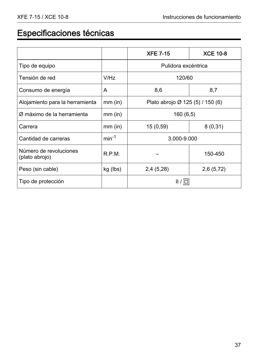# Especificaciones técnicas

|                                          |           | <b>XFE 7-15</b>                              | <b>XCE 10-8</b> |
|------------------------------------------|-----------|----------------------------------------------|-----------------|
| Tipo de equipo                           |           | Pulidora excéntrica                          |                 |
| Tensión de red                           | V/Hz      | 120/60                                       |                 |
| Consumo de energía                       | A         | 8,6                                          | 8,7             |
| Alojamiento para la herramienta          | $mm$ (in) | Plato abrojo $\varnothing$ 125 (5) / 150 (6) |                 |
| Ø máximo de la herramienta               | $mm$ (in) | 160(6,5)                                     |                 |
| Carrera                                  | $mm$ (in) | 15(0,59)                                     | 8(0,31)         |
| Cantidad de carreras                     | $min-1$   | 3.000-9.000                                  |                 |
| Número de revoluciones<br>(plato abrojo) | R.P.M.    |                                              | 150-450         |
| Peso (sin cable)                         | kg (lbs)  | 2,4(5,28)                                    | 2,6(5,72)       |
| Tipo de protección                       |           | 11 / IO                                      |                 |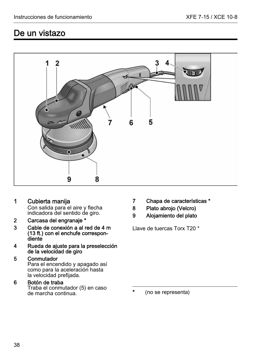# De un vistazo



- 1 Cubierta manija Con salida para el aire y flecha indicadora del sentido de giro.
- 2 Carcasa del engranaje \*
- 3 Cable de conexión a al red de 4 m (13 ft.) con el enchufe correspondiente
- 4 Rueda de ajuste para la preselección de la velocidad de giro
- 5 Conmutador Para el encendido y apagado así como para la aceleración hasta la velocidad prefijada.

#### 6 Botón de traba Traba el conmutador (5) en caso de marcha continua.

- 7 Chapa de características \*
- 8 Plato abrojo (Velcro)
- 9 Alojamiento del plato

Llave de tuercas Torx T20 \*

<sup>(</sup>no se representa)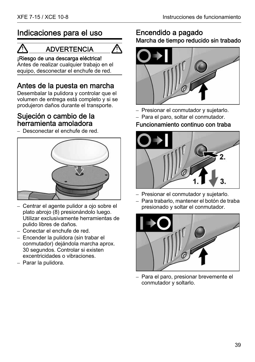# Indicaciones para el uso



# ADVERTENCIA



#### ¡Riesgo de una descarga eléctrica! Antes de realizar cualquier trabajo en el

equipo, desconectar el enchufe de red.

# Antes de la puesta en marcha

Desembalar la pulidora y controlar que el volumen de entrega está completo y si se produjeron daños durante el transporte.

## Sujeción o cambio de la herramienta amoladora

– Desconectar el enchufe de red.



- Centrar el agente pulidor a ojo sobre el plato abrojo (8) presionándolo luego. Utilizar exclusivamente herramientas de pulido libres de daños.
- Conectar el enchufe de red.
- Encender la pulidora (sin trabar el conmutador) dejándola marcha aprox. 30 segundos. Controlar si existen excentricidades o vibraciones.
- Parar la pulidora.

### Encendido a pagado Marcha de tiempo reducido sin trabado



– Presionar el conmutador y sujetarlo.

– Para el paro, soltar el conmutador.

### Funcionamiento continuo con traba



- Presionar el conmutador y sujetarlo.
- Para trabarlo, mantener el botón de traba presionado y soltar el conmutador.



– Para el paro, presionar brevemente el conmutador y soltarlo.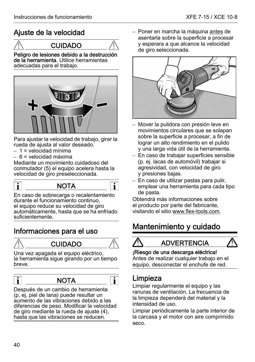# Ajuste de la velocidad



CUIDADO

Peligro de lesiones debido a la destrucción de la herramienta. Utilice herramientas adecuadas para el trabajo.



Para ajustar la velocidad de trabajo, girar la rueda de ajusta al valor deseado.

- $-1$  = velocidad mínima
- 6 = velocidad máxima

Mediante un movimiento cuidadoso del conmutador (5) el equipo acelera hasta la velocidad de giro preseleccionada.

# NOTA

En caso de sobrecarga o recalentamiento durante el funcionamiento continuo, el equipo reduce su velocidad de giro automáticamente, hasta que se ha enfriado suficientemente.

# Informaciones para el uso



ì

# CUIDADO

Una vez apagada el equipo eléctrico, la herramienta sigue girando por un tiempo breve.

**NOTA** 

Después de un cambio de herramienta (p, ej, piel de lana) puede resultar un aumento de las vibraciones debido a las diferencias de peso. Modificar la velocidad de giro mediante la rueda de ajuste (4), hasta que las vibraciones se reducen.

– Poner en marcha la máquina antes de asentarla sobre la superficie a procesar y esperara a que alcance la velocidad de giro seleccionada.



- Mover la pulidora con presión leve en movimientos circulares que se solapan sobre la superficie a procesar, a fin de lograr un alto rendimiento en el pulido y una larga vida útil de la herramienta.
- En caso de trabajar superficies sensible (p. ej. lacas de automóvil) trabajar si agresividad, con velocidad de giro y presiones bajas.
- En caso de utilizar pastas para pulir, emplear una herramienta para cada tipo de pasta.

Obtendrá más informaciones sobre el producto por parte del fabricante, visitando el sitio www.flex-tools.com.

# Mantenimiento y cuidado







### ¡Riesgo de una descarga eléctrica!

Antes de realizar cualquier trabajo en el equipo, desconectar el enchufe de red.

# Limpieza

Limpiar regularmente el equipo y las ranuras de ventilación. La frecuencia de la limpieza dependerá del material y la intensidad de uso.

Limpiar periódicamente la parte interior de la carcasa y el motor con aire comprimido seco.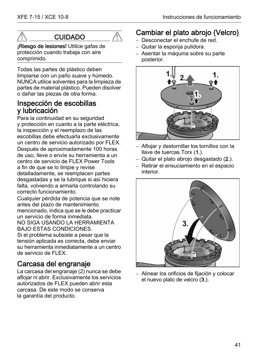# CUIDADO

**¡Riesgo de lesiones!** Utilice gafas de protección cuando trabaja con aire comprimido.

Todas las partes de plástico deben limpiarse con un paño suave y húmedo. NUNCA utilice solventes para la limpieza de partes de material plástico. Pueden disolver o dañar las piezas de otra forma.

### Inspección de escobillas y lubricación

Para la continuidad en su seguridad y protección en cuanto a la parte eléctrica, la inspección y el reemplazo de las escobillas debe efectuarla exclusivamente un centro de servicio autorizado por FLEX. Después de aproximadamente 100 horas de uso, lleve o envíe su herramienta a un centro de servicio de FLEX Power Tools a fin de que se lo limpie y revise detalladamente, se reemplacen partes desgastadas y se la lubrique si así hiciera falta, volviendo a armarla controlando su correcto funcionamiento.

Cualquier pérdida de potencia que se note antes del plazo de mantenimiento mencionado, indica que se le debe practicar un servicio de forma inmediata.

NO SIGA USANDO LA HERRAMIENTA BAJO ESTAS CONDICIONES.

Si el problema subsiste a pesar que la tensión aplicada es correcta, debe enviar su herramienta inmediatamente a un centro de servicio de FLEX.

# Carcasa del engranaje

La carcasa del engranaje (2) nunca se debe aflojar ni abrir. Exclusivamente los servicios autorizados de FLEX pueden abrir esta carcasa. De este modo se conserva la garantía del producto.

# Cambiar el plato abrojo (Velcro)

- Desconectar el enchufe de red.
- Quitar la esponja pulidora.
- Asentar la máquina sobre su parte posterior.



- Aflojar y destornillar los tornillos con la llave de tuercas Torx (1.).
- Quitar el plato abrojo desgastado (2.).
- Retirar el ensuciamiento en el espacio interior.



– Alinear los orificios de fijación y colocar el nuevo plato de velcro (3.).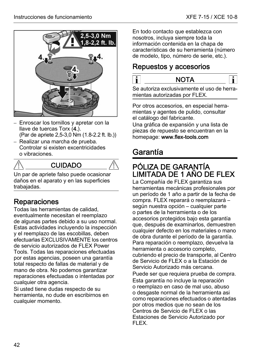

- Enroscar los tornillos y apretar con la llave de tuercas Torx (4.). (Par de apriete 2,5-3,0 Nm (1.8-2.2 ft. lb.))
- Realizar una marcha de prueba. Controlar si existen excentricidades o vibraciones.



# CUIDADO

Un par de apriete falso puede ocasionar daños en el aparato y en las superficies trabajadas.

# Reparaciones

Todas las herramientas de calidad, eventualmente necesitan el reemplazo de algunas partes debido a su uso normal. Estas actividades incluyendo la inspección y el reemplazo de las escobillas, deben efectuarlas EXCLUSIVAMENTE los centros de servicio autorizados de FLEX Power Tools. Todas las reparaciones efectuadas por estas agencias, poseen una garantía total respecto de fallas de material y de mano de obra. No podemos garantizar reparaciones efectuadas o intentadas por cualquier otra agencia.

Si usted tiene dudas respecto de su herramienta, no dude en escribirnos en cualquier momento.

En todo contacto que establezca con nosotros, incluya siempre toda la información contenida en la chapa de características de su herramienta (número de modelo, tipo, número de serie, etc.).

# Repuestos y accesorios

# **NOTA**

Se autoriza exclusivamente el uso de herramientas autorizadas por FLEX.

Por otros accesorios, en especial herramientas y agentes de pulido, consultar el catálogo del fabricante.

Una gráfica de expansión y una lista de piezas de repuesto se encuentran en la homepage: www.flex-tools.com

# Garantía

# PÓLIZA DE GARANTÍA LIMITADA DE 1 AÑO DE FLEX

La Compañía de FLEX garantiza sus herramientas mecánicas profesionales por un período de 1 año a partir de la fecha de compra. FLEX reparará o reemplazará – según nuestra opción – cualquier parte o partes de la herramienta o de los accesorios protegidos bajo esta garantía que, después de examinarlos, demuestren cualquier defecto en los materiales o mano de obra durante el período de la garantía. Para reparación o reemplazo, devuelva la herramienta o accesorio completo, cubriendo el precio de transporte, al Centro de Servicio de FLEX o a la Estación de Servicio Autorizado más cercana.

Puede ser que requiera prueba de compra. Esta garantía no incluye la reparación o reemplazo en caso de mal uso, abuso o desgaste normal de la herramienta asi como reparaciones efectuados o atentadas por otros medios que no sean de los Centros de Servicio de FLEX o las Estaciones de Servicio Autorizado por FLFX.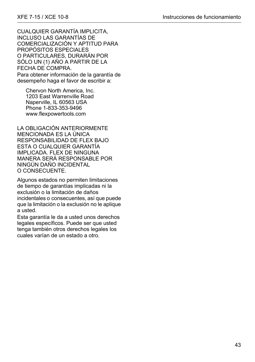CUALQUIER GARANTÍA IMPLICITA, INCLUSO LAS GARANTÍAS DE COMERCIALIZACIÓN Y APTITUD PARA PROPÓSITOS ESPECIALES O PARTICULARES, DURARÁN POR SÓLO UN (1) AÑO A PARTIR DE LA FECHA DE COMPRA. Para obtener información de la garantía de desempeño haga el favor de escribir a:

Chervon North America, Inc. 1203 East Warrenville Road Naperville, IL 60563 USA Phone 1-833-353-9496 www.flexpowertools.com

LA OBLIGACIÓN ANTERIORMENTE MENCIONADA ES LA ÚNICA RESPONSABILIDAD DE FLEX BAJO ESTA O CUALQUIER GARANTÍA IMPLICADA. FLEX DE NINGUNA MANERA SERÁ RESPONSABLE POR NINGÚN DAÑO INCIDENTAL O CONSECUENTE.

Algunos estados no permiten limitaciones de tiempo de garantías implicadas ni la exclusión o la limitación de daños incidentales o consecuentes, así que puede que la limitación o la exclusión no le aplique a usted.

Esta garantía le da a usted unos derechos legales específicos. Puede ser que usted tenga también otros derechos legales los cuales varían de un estado a otro.